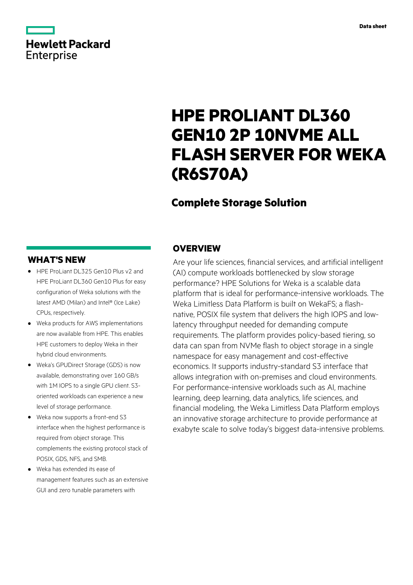# **Hewlett Packard** Enterprise

# **HPE PROLIANT DL360 GEN10 2P 10NVME ALL FLASH SERVER FOR WEKA (R6S70A)**

# **Complete Storage Solution**

# **WHAT'S NEW**

- **·** HPE ProLiant DL325 Gen10 Plus v2 and HPE ProLiant DL360 Gen10 Plus for easy configuration of Weka solutions with the latest AMD (Milan) and Intel® (Ice Lake) CPUs, respectively.
- **·** Weka products for AWS implementations are now available from HPE. This enables HPE customers to deploy Weka in their hybrid cloud environments.
- **·** Weka's GPUDirect Storage (GDS) is now available, demonstrating over 160 GB/s with 1M IOPS to a single GPU client. S3 oriented workloads can experience a new level of storage performance.
- **·** Weka now supports a front-end S3 interface when the highest performance is required from object storage. This complements the existing protocol stack of POSIX, GDS, NFS, and SMB.
- **·** Weka has extended its ease of management features such as an extensive GUI and zero tunable parameters with

### **OVERVIEW**

Are your life sciences, financial services, and artificial intelligent (AI) compute workloads bottlenecked by slow storage performance? HPE Solutions for Weka is a scalable data platform that is ideal for performance-intensive workloads. The Weka Limitless Data Platform is built on WekaFS; a flashnative, POSIX file system that delivers the high IOPS and lowlatency throughput needed for demanding compute requirements. The platform provides policy-based tiering, so data can span from NVMe flash to object storage in a single namespace for easy management and cost-effective economics. It supports industry-standard S3 interface that allows integration with on-premises and cloud environments. For performance-intensive workloads such as AI, machine learning, deep learning, data analytics, life sciences, and financial modeling, the Weka Limitless Data Platform employs an innovative storage architecture to provide performance at exabyte scale to solve today's biggest data-intensive problems.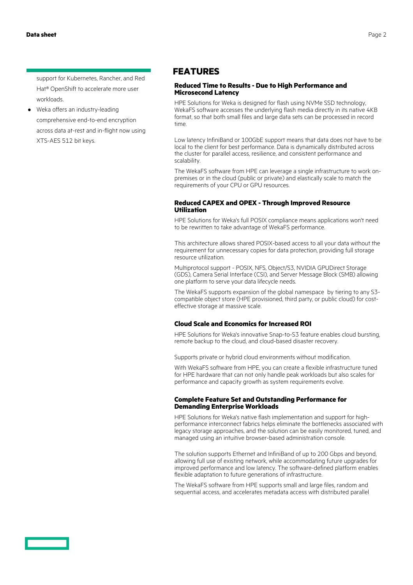support for Kubernetes, Rancher, and Red Hat® OpenShift to accelerate more user workloads.

**·** Weka offers an industry-leading comprehensive end-to-end encryption across data at-rest and in-flight now using XTS-AES 512 bit keys.

## **FEATURES**

#### **Reduced Time to Results - Due to High Performance and Microsecond Latency**

HPE Solutions for Weka is designed for flash using NVMe SSD technology, WekaFS software accesses the underlying flash media directly in its native 4KB format, so that both small files and large data sets can be processed in record time.

Low latency InfiniBand or 100GbE support means that data does not have to be local to the client for best performance. Data is dynamically distributed across the cluster for parallel access, resilience, and consistent performance and scalability.

The WekaFS software from HPE can leverage a single infrastructure to work onpremises or in the cloud (public or private) and elastically scale to match the requirements of your CPU or GPU resources.

#### **Reduced CAPEX and OPEX - Through Improved Resource Utilization**

HPE Solutions for Weka's full POSIX compliance means applications won't need to be rewritten to take advantage of WekaFS performance.

This architecture allows shared POSIX-based access to all your data without the requirement for unnecessary copies for data protection, providing full storage resource utilization.

Multiprotocol support - POSIX, NFS, Object/S3, NVIDIA GPUDirect Storage (GDS), Camera Serial Interface (CSI), and Server Message Block (SMB) allowing one platform to serve your data lifecycle needs.

The WekaFS supports expansion of the global namespace by tiering to any S3 compatible object store (HPE provisioned, third party, or public cloud) for costeffective storage at massive scale.

### **Cloud Scale and Economics for Increased ROI**

HPE Solutions for Weka's innovative Snap-to-S3 feature enables cloud bursting, remote backup to the cloud, and cloud-based disaster recovery.

Supports private or hybrid cloud environments without modification.

With WekaFS software from HPE, you can create a flexible infrastructure tuned for HPE hardware that can not only handle peak workloads but also scales for performance and capacity growth as system requirements evolve.

#### **Complete Feature Set and Outstanding Performance for Demanding Enterprise Workloads**

HPE Solutions for Weka's native flash implementation and support for highperformance interconnect fabrics helps eliminate the bottlenecks associated with legacy storage approaches, and the solution can be easily monitored, tuned, and managed using an intuitive browser-based administration console.

The solution supports Ethernet and InfiniBand of up to 200 Gbps and beyond, allowing full use of existing network, while accommodating future upgrades for improved performance and low latency. The software-defined platform enables flexible adaptation to future generations of infrastructure.

The WekaFS software from HPE supports small and large files, random and sequential access, and accelerates metadata access with distributed parallel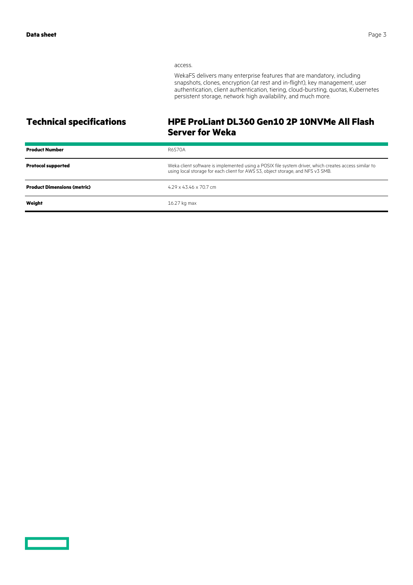#### access.

WekaFS delivers many enterprise features that are mandatory, including snapshots, clones, encryption (at rest and in-flight), key management, user authentication, client authentication, tiering, cloud-bursting, quotas, Kubernetes persistent storage, network high availability, and much more.

# **Technical specifications HPE ProLiant DL360 Gen10 2P 10NVMe All Flash Server for Weka**

| <b>Product Number</b>              | <b>R6S70A</b>                                                                                                                                                                            |
|------------------------------------|------------------------------------------------------------------------------------------------------------------------------------------------------------------------------------------|
| <b>Protocol supported</b>          | Weka client software is implemented using a POSIX file system driver, which creates access similar to<br>using local storage for each client for AWS S3, object storage, and NFS v3 SMB. |
| <b>Product Dimensions (metric)</b> | $4.29 \times 43.46 \times 70.7$ cm                                                                                                                                                       |
| Weight                             | 16.27 kg max                                                                                                                                                                             |